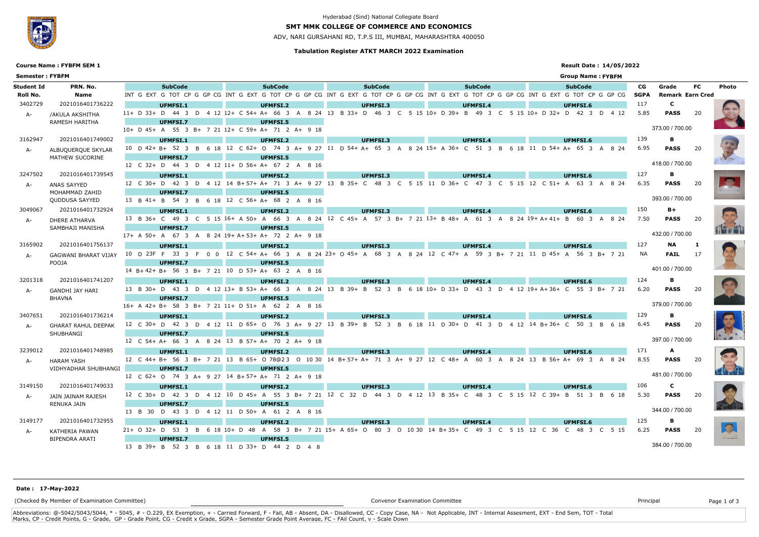### **Tabulation Register ATKT MARCH 2022 Examination**

## **SMT MMK COLLEGE OF COMMERCE AND ECONOMICS**

ADV, NARI GURSAHANI RD, T.P.S III, MUMBAI, MAHARASHTRA 400050

### **Result Date : 14/05/2022**

## **Course Name : FYBFM SEM 1**



## Hyderabad (Sind) National Collegiate Board

| <b>Semester: FYBFM</b> |                                      |                   |  |                 |  |                                                              |  |  |                                                                                                                                |  |  |  |                                                                                                                                 |  |  |                                                                                           |                 |  |  |                                                                                                 |  | <b>Group Name: FYBFM</b>                                                                                              |     |             |             |                         |           |              |  |  |  |  |  |  |
|------------------------|--------------------------------------|-------------------|--|-----------------|--|--------------------------------------------------------------|--|--|--------------------------------------------------------------------------------------------------------------------------------|--|--|--|---------------------------------------------------------------------------------------------------------------------------------|--|--|-------------------------------------------------------------------------------------------|-----------------|--|--|-------------------------------------------------------------------------------------------------|--|-----------------------------------------------------------------------------------------------------------------------|-----|-------------|-------------|-------------------------|-----------|--------------|--|--|--|--|--|--|
| Student Id             | PRN. No.                             |                   |  | <b>SubCode</b>  |  |                                                              |  |  | <b>SubCode</b>                                                                                                                 |  |  |  | <b>SubCode</b>                                                                                                                  |  |  |                                                                                           | <b>SubCode</b>  |  |  |                                                                                                 |  | <b>SubCode</b>                                                                                                        |     |             | CG          | Grade                   | <b>FC</b> | <b>Photo</b> |  |  |  |  |  |  |
| Roll No.               | Name                                 |                   |  |                 |  |                                                              |  |  | INT GEXT GITOT CP GGP CGINT GEXT GITOT CP GGP CGINT GEXT GITOT CP GGP CGINT GEXT GITOT CP GGP CGINT GEXT GITOT CP GGP CG       |  |  |  |                                                                                                                                 |  |  |                                                                                           |                 |  |  |                                                                                                 |  |                                                                                                                       |     |             | <b>SGPA</b> | <b>Remark Earn Cred</b> |           |              |  |  |  |  |  |  |
| 3402729                | 2021016401736222                     |                   |  | <b>UFMFSI.1</b> |  |                                                              |  |  | UFMFSI.2                                                                                                                       |  |  |  | UFMFSI.3                                                                                                                        |  |  |                                                                                           | <b>UFMFSI.4</b> |  |  |                                                                                                 |  | UFMFSI.6                                                                                                              |     |             | 117         | $\mathbf{C}$            |           |              |  |  |  |  |  |  |
| A-                     | /AKULA AKSHITHA                      |                   |  |                 |  |                                                              |  |  | 11+ D 33+ D 44 3 D 4 12 12+ C 54+ A+ 66 3 A 8 24 13 B 33+ D 46 3 C 5 15 10+ D 39+ B 49 3 C                                     |  |  |  |                                                                                                                                 |  |  |                                                                                           |                 |  |  | 5 15 10 + D 32 + D 42 3 D 4 12                                                                  |  |                                                                                                                       |     |             | 5.85        | <b>PASS</b>             | -20       |              |  |  |  |  |  |  |
|                        | RAMESH HARITHA                       |                   |  | <b>UFMFSI.7</b> |  |                                                              |  |  | UFMFSI.5                                                                                                                       |  |  |  |                                                                                                                                 |  |  |                                                                                           |                 |  |  |                                                                                                 |  |                                                                                                                       |     |             |             |                         |           |              |  |  |  |  |  |  |
|                        |                                      |                   |  |                 |  |                                                              |  |  | 10+ D 45+ A 55 3 B+ 7 21 12+ C 59+ A+ 71 2 A+ 9 18                                                                             |  |  |  |                                                                                                                                 |  |  |                                                                                           |                 |  |  |                                                                                                 |  |                                                                                                                       |     |             |             | 373.00 / 700.00         |           |              |  |  |  |  |  |  |
| 3162947                | 2021016401749002                     |                   |  | <b>UFMFSI.1</b> |  |                                                              |  |  | UFMFSI.2                                                                                                                       |  |  |  | UFMFSI.3                                                                                                                        |  |  |                                                                                           | <b>UFMFSI.4</b> |  |  |                                                                                                 |  | UFMFSI.6                                                                                                              |     |             | 139         | в                       |           |              |  |  |  |  |  |  |
| A-                     | ALBUQUERQUE SKYLAR                   |                   |  |                 |  |                                                              |  |  | 10 D 42+ B+ 52 3 B 6 18 12 C 62+ O 74 3 A+ 9 27 11 D 54+ A+ 65 3 A 8 24 15+ A 36+ C 51 3 B 6 18 11 D 54+ A+ 65 3 A 8 24        |  |  |  |                                                                                                                                 |  |  |                                                                                           |                 |  |  |                                                                                                 |  |                                                                                                                       |     |             | 6.95        | <b>PASS</b>             | -20       |              |  |  |  |  |  |  |
|                        | MATHEW SUCORINE                      |                   |  | UFMFSI.7        |  |                                                              |  |  | UFMFSI.5                                                                                                                       |  |  |  |                                                                                                                                 |  |  |                                                                                           |                 |  |  |                                                                                                 |  |                                                                                                                       |     |             |             |                         |           |              |  |  |  |  |  |  |
|                        |                                      |                   |  |                 |  |                                                              |  |  | 12 C 32+ D 44 3 D 4 12 11+ D 56+ A+ 67 2 A 8 16                                                                                |  |  |  |                                                                                                                                 |  |  |                                                                                           |                 |  |  |                                                                                                 |  |                                                                                                                       |     |             |             | 418.00 / 700.00         |           |              |  |  |  |  |  |  |
| 3247502                | 2021016401739545                     |                   |  | UFMFSI.1        |  |                                                              |  |  | UFMFSI.2                                                                                                                       |  |  |  | UFMFSI.3                                                                                                                        |  |  |                                                                                           | <b>UFMFSI.4</b> |  |  |                                                                                                 |  | UFMFSI.6                                                                                                              |     |             | 127         | в                       |           |              |  |  |  |  |  |  |
| A-                     | ANAS SAYYED                          |                   |  |                 |  |                                                              |  |  | 12 C 30+ D 42 3 D 4 12 14 B+57+ A+ 71 3 A+ 9 27 13 B 35+ C 48 3 C 5 15 11 D 36+ C 47 3 C 5 15 12 C 51+ A 63 3 A 8 24           |  |  |  |                                                                                                                                 |  |  |                                                                                           |                 |  |  |                                                                                                 |  |                                                                                                                       |     |             | 6.35        | <b>PASS</b>             | -20       |              |  |  |  |  |  |  |
|                        | MOHAMMAD ZAHID                       |                   |  | UFMFSI.7        |  |                                                              |  |  | UFMFSI.5                                                                                                                       |  |  |  |                                                                                                                                 |  |  |                                                                                           |                 |  |  |                                                                                                 |  |                                                                                                                       |     |             |             |                         |           |              |  |  |  |  |  |  |
|                        | QUDDUSA SAYYED                       |                   |  |                 |  |                                                              |  |  | 13 B 41+ B 54 3 B 6 18 12 C 56+ A+ 68 2 A 8 16                                                                                 |  |  |  |                                                                                                                                 |  |  |                                                                                           |                 |  |  |                                                                                                 |  |                                                                                                                       |     |             |             | 393.00 / 700.00         |           |              |  |  |  |  |  |  |
| 3049067                | 2021016401732924                     |                   |  | UFMFSI.1        |  |                                                              |  |  | UFMFSI.2                                                                                                                       |  |  |  | UFMFSI.3                                                                                                                        |  |  |                                                                                           | <b>UFMFSI.4</b> |  |  |                                                                                                 |  | UFMFSI.6                                                                                                              |     |             | 150         | $B+$                    |           |              |  |  |  |  |  |  |
| A-                     | <b>DHERE ATHARVA</b>                 | 13 B 36+ C 49 3 C |  |                 |  |                                                              |  |  | 5 15 16 + A 50 + A 66 3 A 8 24 12 C 45 + A 57 3 B + 7 21 13 + B 48 + A 61 3 A 8 24 19 + A + 41 + B                             |  |  |  |                                                                                                                                 |  |  |                                                                                           |                 |  |  |                                                                                                 |  |                                                                                                                       |     | 60 3 A 8 24 | 7.50        | <b>PASS</b>             | -20       |              |  |  |  |  |  |  |
|                        | SAMBHAJI MANISHA                     |                   |  | UFMFSI.7        |  |                                                              |  |  | UFMFSI.5                                                                                                                       |  |  |  |                                                                                                                                 |  |  |                                                                                           |                 |  |  |                                                                                                 |  |                                                                                                                       |     |             |             |                         |           |              |  |  |  |  |  |  |
|                        |                                      |                   |  |                 |  |                                                              |  |  | 17+ A 50+ A 67 3 A 8 24 19+ A+ 53+ A+ 72 2 A+ 9 18                                                                             |  |  |  |                                                                                                                                 |  |  |                                                                                           |                 |  |  |                                                                                                 |  |                                                                                                                       |     |             |             | 432.00 / 700.00         |           |              |  |  |  |  |  |  |
| 3165902                | 2021016401756137                     |                   |  | UFMFSI.1        |  |                                                              |  |  | UFMFSI.2                                                                                                                       |  |  |  | UFMFSI.3                                                                                                                        |  |  |                                                                                           | UFMFSI.4        |  |  |                                                                                                 |  | UFMFSI.6                                                                                                              |     |             | 127         | <b>NA</b>               | -1        |              |  |  |  |  |  |  |
| A-                     | <b>GAGWANI BHARAT VIJAY</b><br>POOJA | 10 D 23F F 33 3 F |  |                 |  | $0\quad 0$                                                   |  |  |                                                                                                                                |  |  |  |                                                                                                                                 |  |  |                                                                                           |                 |  |  | 12 C 54+ A+ 66 3 A 8 24 23+ O 45+ A 68 3 A 8 24 12 C 47+ A 59 3 B+ 7 21 11 D 45+ A 56 3 B+ 7 21 |  |                                                                                                                       | NA. | <b>FAIL</b> | 17          |                         |           |              |  |  |  |  |  |  |
|                        |                                      | UFMFSI.7          |  |                 |  | UFMFSI.5<br>14 B+42+ B+ 56 3 B+ 7 21 10 D 53+ A+ 63 2 A 8 16 |  |  |                                                                                                                                |  |  |  |                                                                                                                                 |  |  |                                                                                           |                 |  |  |                                                                                                 |  |                                                                                                                       |     |             |             |                         |           |              |  |  |  |  |  |  |
|                        |                                      |                   |  |                 |  |                                                              |  |  |                                                                                                                                |  |  |  |                                                                                                                                 |  |  |                                                                                           |                 |  |  |                                                                                                 |  |                                                                                                                       |     |             |             | 401.00 / 700.00         |           |              |  |  |  |  |  |  |
| 3201318                | 2021016401741207                     |                   |  | UFMFSI.1        |  |                                                              |  |  | <b>UFMFSI.2</b>                                                                                                                |  |  |  | UFMFSI.3                                                                                                                        |  |  |                                                                                           | <b>UFMFSI.4</b> |  |  |                                                                                                 |  | UFMFSI.6                                                                                                              |     |             | 124         | в                       |           |              |  |  |  |  |  |  |
| A-                     | <b>GANDHI JAY HARI</b>               |                   |  |                 |  |                                                              |  |  |                                                                                                                                |  |  |  |                                                                                                                                 |  |  | 13 B 30+ D 43 3 D 4 12 13+ B 53+ A+ 66 3 A 8 24 13 B 39+ B 52 3 B 6 18 10+ D 33+ D 43 3 D |                 |  |  | 4 12 19 + A + 36 + C 55 3 B + 7 21                                                              |  |                                                                                                                       |     |             | 6.20        | <b>PASS</b>             | 20        |              |  |  |  |  |  |  |
|                        | <b>BHAVNA</b>                        |                   |  | <b>UFMFSI.7</b> |  |                                                              |  |  | UFMFSI.5                                                                                                                       |  |  |  |                                                                                                                                 |  |  |                                                                                           |                 |  |  |                                                                                                 |  |                                                                                                                       |     |             |             | 379.00 / 700.00         |           |              |  |  |  |  |  |  |
|                        |                                      |                   |  |                 |  |                                                              |  |  | 16+ A 42+ B+ 58 3 B+ 7 21 11+ D 51+ A 62 2 A 8 16                                                                              |  |  |  |                                                                                                                                 |  |  |                                                                                           |                 |  |  |                                                                                                 |  |                                                                                                                       |     |             |             |                         |           |              |  |  |  |  |  |  |
| 3407651                | 2021016401736214                     |                   |  | <b>UFMFSI.1</b> |  |                                                              |  |  | UFMFSI.2                                                                                                                       |  |  |  | <b>UFMFSI.3</b>                                                                                                                 |  |  |                                                                                           | <b>UFMFSI.4</b> |  |  |                                                                                                 |  | UFMFSI.6                                                                                                              |     |             | 129         | в                       |           |              |  |  |  |  |  |  |
| A-                     | <b>GHARAT RAHUL DEEPAK</b>           |                   |  |                 |  |                                                              |  |  | 12 C 30+ D 42 3 D 4 12 11 D 65+ O 76 3 A+ 9 27 13 B 39+ B 52 3 B 6 18 11 D 30+ D 41 3 D 4 12 14 B+36+ C 50 3 B 6 18            |  |  |  |                                                                                                                                 |  |  |                                                                                           |                 |  |  |                                                                                                 |  |                                                                                                                       |     |             | 6.45        | <b>PASS</b>             | -20       |              |  |  |  |  |  |  |
|                        | SHUBHANGI                            |                   |  | UFMFSI.7        |  |                                                              |  |  | UFMFSI.5                                                                                                                       |  |  |  |                                                                                                                                 |  |  |                                                                                           |                 |  |  |                                                                                                 |  |                                                                                                                       |     |             |             | 397.00 / 700.00         |           |              |  |  |  |  |  |  |
|                        |                                      |                   |  |                 |  |                                                              |  |  | 12 C 54+ A+ 66 3 A 8 24 13 B 57+ A+ 70 2 A+ 9 18                                                                               |  |  |  |                                                                                                                                 |  |  |                                                                                           |                 |  |  |                                                                                                 |  |                                                                                                                       |     |             |             |                         |           |              |  |  |  |  |  |  |
| 3239012                | 2021016401748985                     |                   |  | UFMFSI.1        |  |                                                              |  |  | UFMFSI.2                                                                                                                       |  |  |  | UFMFSI.3                                                                                                                        |  |  |                                                                                           | UFMFSI.4        |  |  |                                                                                                 |  | UFMFSI.6                                                                                                              |     |             | 171         | A                       |           |              |  |  |  |  |  |  |
| A-                     | HARAM YASH                           |                   |  |                 |  |                                                              |  |  |                                                                                                                                |  |  |  | 12 C 44+ B+ 56 3 B+ 7 21 13 B 65+ O 78@23 O 10 30 14 B+ 57+ A+ 71 3 A+ 9 27 12 C 48+ A 60 3 A 8 24 13 B 56+ A+ 69 3 A 8 24 8.55 |  |  |                                                                                           |                 |  |  |                                                                                                 |  |                                                                                                                       |     |             |             | <b>PASS</b>             | -20       |              |  |  |  |  |  |  |
|                        | VIDHYADHAR SHUBHANGI                 |                   |  | UFMFSI.7        |  |                                                              |  |  | UFMFSI.5<br>12 C 62+ O 74 3 A+ 9 27 14 B+57+ A+ 71 2 A+ 9 18                                                                   |  |  |  |                                                                                                                                 |  |  |                                                                                           |                 |  |  |                                                                                                 |  |                                                                                                                       |     |             |             | 481.00 / 700.00         |           |              |  |  |  |  |  |  |
|                        | 2021016401749033                     |                   |  |                 |  |                                                              |  |  |                                                                                                                                |  |  |  |                                                                                                                                 |  |  |                                                                                           |                 |  |  |                                                                                                 |  |                                                                                                                       |     |             |             |                         |           |              |  |  |  |  |  |  |
| 3149150                |                                      |                   |  | <b>UFMFSI.1</b> |  |                                                              |  |  | UFMFSI.2<br>12 C 30+ D 42 3 D 4 12 10 D 45+ A 55 3 B+ 7 21 12 C 32 D 44 3 D 4 12 13 B 35+ C 48 3 C 5 15 12 C 39+ B 51 3 B 6 18 |  |  |  | UFMFSI.3                                                                                                                        |  |  |                                                                                           | <b>UFMFSI.4</b> |  |  |                                                                                                 |  | UFMFSI.6                                                                                                              |     |             | 106         | $\mathbf c$             |           |              |  |  |  |  |  |  |
| A-                     | JAIN JAINAM RAJESH                   |                   |  |                 |  |                                                              |  |  |                                                                                                                                |  |  |  |                                                                                                                                 |  |  |                                                                                           |                 |  |  |                                                                                                 |  |                                                                                                                       |     |             | 5.30        | <b>PASS</b>             | - 20      |              |  |  |  |  |  |  |
|                        | RENUKA JAIN                          |                   |  | UFMFSI.7        |  |                                                              |  |  | UFMFSI.5<br>13 B 30 D 43 3 D 4 12 11 D 50+ A 61 2 A 8 16                                                                       |  |  |  |                                                                                                                                 |  |  |                                                                                           |                 |  |  |                                                                                                 |  |                                                                                                                       |     |             |             | 344.00 / 700.00         |           |              |  |  |  |  |  |  |
| 3149177                | 2021016401732955                     |                   |  |                 |  |                                                              |  |  |                                                                                                                                |  |  |  |                                                                                                                                 |  |  |                                                                                           |                 |  |  |                                                                                                 |  |                                                                                                                       |     |             | 125         | В                       |           |              |  |  |  |  |  |  |
|                        |                                      |                   |  | UFMFSI.1        |  |                                                              |  |  | UFMFSI.2                                                                                                                       |  |  |  | UFMFSI.3                                                                                                                        |  |  |                                                                                           | UFMFSI.4        |  |  |                                                                                                 |  | UFMFSI.6                                                                                                              |     |             | 6.25        |                         | 20        |              |  |  |  |  |  |  |
| A-                     | KATHERIA PAWAN                       |                   |  | UFMFSI.7        |  |                                                              |  |  | UFMFSI.5                                                                                                                       |  |  |  |                                                                                                                                 |  |  |                                                                                           |                 |  |  |                                                                                                 |  | 21+ O 32+ D 53 3 B 6 18 10+ D 48 A 58 3 B+ 7 21 15+ A 65+ O 80 3 O 10 30 14 B+35+ C 49 3 C 5 15 12 C 36 C 48 3 C 5 15 |     |             |             | <b>PASS</b>             |           |              |  |  |  |  |  |  |
|                        | BIPENDRA ARATI                       |                   |  |                 |  |                                                              |  |  | 13 B 39 + B 52 3 B 6 18 11 D 33 + D 44 2 D 4 8                                                                                 |  |  |  |                                                                                                                                 |  |  |                                                                                           |                 |  |  |                                                                                                 |  |                                                                                                                       |     |             |             | 384.00 / 700.00         |           |              |  |  |  |  |  |  |

Abbreviations: @-5042/5043/5044, \* - 5045, # - O.229, EX Exemption, + - Carried Forward, F - Fail, AB - Absent, DA - Disallowed, CC - Copy Case, NA - Not Applicable, INT - Internal Assesment, EXT - End Sem, TOT - Total Marks, CP - Credit Points, G - Grade, GP - Grade Point, CG - Credit x Grade, SGPA - Semester Grade Point Average, FC - FAil Count, v - Scale Down

13 B 39+ B 52 3 B 6 18 11 D 33+ D 44 2 D 4 8

### **Date : 17-May-2022**

(Checked By Member of Examination Committee) Convenor Examination Committee Principal Principal Page 1 of 3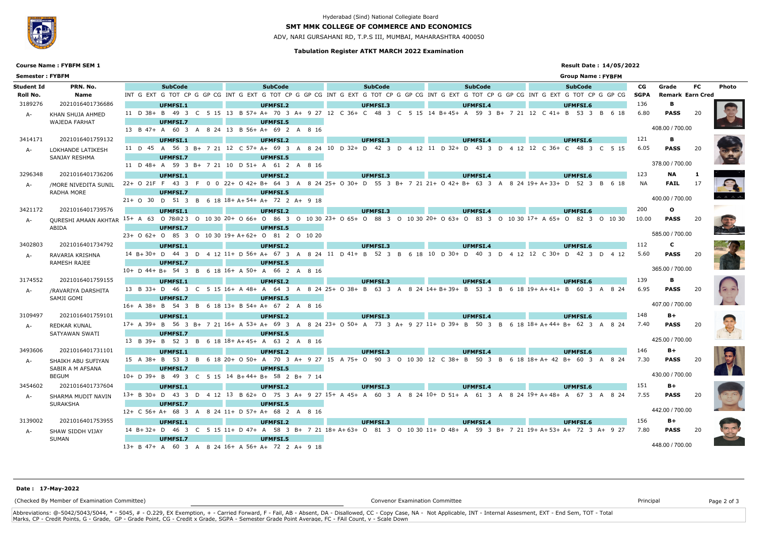## **Tabulation Register ATKT MARCH 2022 Examination**

## **SMT MMK COLLEGE OF COMMERCE AND ECONOMICS**

ADV, NARI GURSAHANI RD, T.P.S III, MUMBAI, MAHARASHTRA 400050

### **Result Date : 14/05/2022**

## **Course Name : FYBFM SEM 1**



## Hyderabad (Sind) National Collegiate Board

| <b>Semester: FYBFM</b> |                                                                                                                                                   |                    |  |                 |  |                 |                                                        |                 |  |  |                                                                                               |  |                 |  |  |                                                                                    |                 |        |  |                                                                                                                                     | <b>Group Name: FYBFM</b> |             |                         |           |              |  |  |  |  |  |
|------------------------|---------------------------------------------------------------------------------------------------------------------------------------------------|--------------------|--|-----------------|--|-----------------|--------------------------------------------------------|-----------------|--|--|-----------------------------------------------------------------------------------------------|--|-----------------|--|--|------------------------------------------------------------------------------------|-----------------|--------|--|-------------------------------------------------------------------------------------------------------------------------------------|--------------------------|-------------|-------------------------|-----------|--------------|--|--|--|--|--|
| Student Id             | PRN. No.                                                                                                                                          |                    |  | <b>SubCode</b>  |  |                 |                                                        | <b>SubCode</b>  |  |  |                                                                                               |  | <b>SubCode</b>  |  |  |                                                                                    | <b>SubCode</b>  |        |  |                                                                                                                                     | <b>SubCode</b>           | CG.         | Grade                   | <b>FC</b> | <b>Photo</b> |  |  |  |  |  |
| Roll No.               | Name                                                                                                                                              |                    |  |                 |  |                 |                                                        |                 |  |  |                                                                                               |  |                 |  |  |                                                                                    |                 |        |  | INT GEXT GITOT CP GGP CGINT GEXT GITOT CP GGP CGINT GEXT GITOT CP GGP CGINT GEXT GITOT CP GGP CGINT GEXT GITOT CP GGP CG            |                          | <b>SGPA</b> | <b>Remark Earn Cred</b> |           |              |  |  |  |  |  |
| 3189276                | 2021016401736686                                                                                                                                  |                    |  | UFMFSI.1        |  |                 |                                                        | UFMFSI.2        |  |  |                                                                                               |  | UFMFSI.3        |  |  |                                                                                    | UFMFSI.4        |        |  |                                                                                                                                     | UFMFSI.6                 | 136         | В                       |           |              |  |  |  |  |  |
| A-                     | KHAN SHUJA AHMED                                                                                                                                  | 11 D $38 + B$ 49   |  | $\overline{3}$  |  |                 |                                                        |                 |  |  |                                                                                               |  |                 |  |  | C 5 15 13 B 57+ A+ 70 3 A+ 9 27 12 C 36+ C 48 3 C 5 15 14 B+45+ A                  |                 |        |  | 59 3 B + 7 21 12 C 41 + B 53 3 B 6 18                                                                                               |                          | 6.80        | <b>PASS</b>             | -20       |              |  |  |  |  |  |
|                        | <b>WAJEDA FARHAT</b>                                                                                                                              | UFMFSI.7           |  |                 |  |                 | UFMFSI.5                                               |                 |  |  |                                                                                               |  |                 |  |  |                                                                                    |                 |        |  |                                                                                                                                     |                          |             |                         |           |              |  |  |  |  |  |
|                        |                                                                                                                                                   |                    |  |                 |  |                 | 13 B 47+ A 60 3 A 8 24 13 B 56+ A+ 69 2 A 8 16         |                 |  |  |                                                                                               |  |                 |  |  |                                                                                    |                 |        |  |                                                                                                                                     |                          |             | 408.00 / 700.00         |           |              |  |  |  |  |  |
| 3414171                | 2021016401759132                                                                                                                                  |                    |  | UFMFSI.1        |  |                 |                                                        | UFMFSI.2        |  |  |                                                                                               |  | <b>UFMFSI.3</b> |  |  |                                                                                    | <b>UFMFSI.4</b> |        |  |                                                                                                                                     | <b>UFMFSI.6</b>          | 121         | В                       |           |              |  |  |  |  |  |
| A-                     | LOKHANDE LATIKESH                                                                                                                                 |                    |  |                 |  |                 |                                                        |                 |  |  |                                                                                               |  |                 |  |  |                                                                                    |                 |        |  | 11 D 45 A 56 3 B + 7 21 12 C 57 + A + 69 3 A 8 24 10 D 32 + D 42 3 D 4 12 11 D 32 + D 43 3 D 4 12 12 C 36 + C 48 3 C 5 15           |                          | 6.05        | <b>PASS</b>             | -20       |              |  |  |  |  |  |
|                        | SANJAY RESHMA                                                                                                                                     |                    |  | UFMFSI.7        |  |                 |                                                        | UFMFSI.5        |  |  |                                                                                               |  |                 |  |  |                                                                                    |                 |        |  |                                                                                                                                     |                          |             |                         |           |              |  |  |  |  |  |
|                        |                                                                                                                                                   |                    |  |                 |  |                 | 11 D 48+ A 59 3 B+ 7 21 10 D 51+ A 61 2 A 8 16         |                 |  |  |                                                                                               |  |                 |  |  |                                                                                    |                 |        |  |                                                                                                                                     |                          |             | 378.00 / 700.00         |           |              |  |  |  |  |  |
| 3296348                | 2021016401736206                                                                                                                                  |                    |  | UFMFSI.1        |  |                 |                                                        | UFMFSI.2        |  |  |                                                                                               |  | UFMFSI.3        |  |  |                                                                                    | <b>UFMFSI.4</b> |        |  |                                                                                                                                     | UFMFSI.6                 | 123         | <b>NA</b>               | -1        |              |  |  |  |  |  |
| A-                     | /MORE NIVEDITA SUNIL                                                                                                                              | 22+ 0 21F F 43 3 F |  |                 |  |                 |                                                        |                 |  |  |                                                                                               |  |                 |  |  |                                                                                    |                 |        |  | 0 0 22+ O 42+ B+ 64 3 A 8 24 25+ O 30+ D 55 3 B+ 7 21 21+ O 42+ B+ 63 3 A 8 24 19+ A+ 33+ D 52 3 B 6 18                             |                          | <b>NA</b>   | <b>FAIL</b>             | 17        |              |  |  |  |  |  |
|                        | RADHA MORE                                                                                                                                        |                    |  | UFMFSI.7        |  | <b>UFMFSI.5</b> |                                                        |                 |  |  |                                                                                               |  |                 |  |  |                                                                                    |                 |        |  |                                                                                                                                     |                          |             |                         |           |              |  |  |  |  |  |
|                        |                                                                                                                                                   |                    |  |                 |  |                 | 21+ O 30 D 51 3 B 6 18 18 + A + 54 + A + 72 2 A + 9 18 |                 |  |  |                                                                                               |  |                 |  |  |                                                                                    |                 |        |  |                                                                                                                                     |                          |             | 400.00 / 700.00         |           |              |  |  |  |  |  |
| 3421172                | 2021016401739576                                                                                                                                  |                    |  | UFMFSI.1        |  |                 |                                                        | <b>UFMFSI.2</b> |  |  |                                                                                               |  | UFMFSI.3        |  |  |                                                                                    | UFMFSI.4        |        |  |                                                                                                                                     | UFMFSI.6                 | 200         | $\mathbf{o}$            |           |              |  |  |  |  |  |
| A-                     | OURESHI AMAAN AKHTAR 15+ A 63 0 78@23 0 10 30 20+ 0 66+ 0 86 3 0 10 30 23+ 0 65+ 0 88 3 0 10 30 20+ 0 63+ 0 83 3 0 10 30 17+ A 65+ 0 82 3 0 10 30 |                    |  |                 |  |                 |                                                        |                 |  |  |                                                                                               |  |                 |  |  |                                                                                    |                 |        |  |                                                                                                                                     |                          | 10.00       | <b>PASS</b>             | -20       |              |  |  |  |  |  |
|                        | ABIDA                                                                                                                                             |                    |  | UFMFSI.7        |  |                 |                                                        | UFMFSI.5        |  |  |                                                                                               |  |                 |  |  |                                                                                    |                 |        |  |                                                                                                                                     |                          |             | 585.00 / 700.00         |           |              |  |  |  |  |  |
|                        |                                                                                                                                                   |                    |  |                 |  |                 | 23+ 0 62+ 0 85 3 0 10 30 19+ A+ 62+ 0 81 2 0 10 20     |                 |  |  |                                                                                               |  |                 |  |  |                                                                                    |                 |        |  |                                                                                                                                     |                          |             |                         |           |              |  |  |  |  |  |
| 3402803                | 2021016401734792                                                                                                                                  |                    |  | UFMFSI.1        |  |                 |                                                        | UFMFSI.2        |  |  |                                                                                               |  | UFMFSI.3        |  |  |                                                                                    | <b>UFMFSI.4</b> |        |  |                                                                                                                                     | UFMFSI.6                 | 112         | $\mathbf{C}$            |           |              |  |  |  |  |  |
| $A-$                   | RAVARIA KRISHNA                                                                                                                                   |                    |  |                 |  |                 |                                                        |                 |  |  |                                                                                               |  |                 |  |  |                                                                                    |                 |        |  | 14 B+30+ D 44 3 D 4 12 11+ D 56+ A+ 67 3 A 8 24 11 D 41+ B 52 3 B 6 18 10 D 30+ D 40 3 D 4 12 12 C 30+ D 42 3 D 4 12                |                          | 5.60        | <b>PASS</b>             | - 20      |              |  |  |  |  |  |
|                        | RAMESH RAJEE                                                                                                                                      |                    |  | UFMFSI.7        |  |                 |                                                        | UFMFSI.5        |  |  |                                                                                               |  |                 |  |  |                                                                                    |                 |        |  |                                                                                                                                     |                          |             | 365.00 / 700.00         |           |              |  |  |  |  |  |
|                        |                                                                                                                                                   |                    |  |                 |  |                 | 10+ D 44+ B+ 54 3 B 6 18 16+ A 50+ A 66 2 A 8 16       |                 |  |  |                                                                                               |  |                 |  |  |                                                                                    |                 |        |  |                                                                                                                                     |                          |             |                         |           |              |  |  |  |  |  |
| 3174552                | 2021016401759155                                                                                                                                  |                    |  | UFMFSI.1        |  |                 |                                                        | <b>UFMFSI.2</b> |  |  |                                                                                               |  | UFMFSI.3        |  |  |                                                                                    | UFMFSI.4        |        |  |                                                                                                                                     | UFMFSI.6                 | 139         | В                       |           |              |  |  |  |  |  |
| $A-$                   | /RAVARIYA DARSHITA                                                                                                                                |                    |  |                 |  |                 |                                                        |                 |  |  |                                                                                               |  |                 |  |  | 13 B 33+ D 46 3 C 5 15 16+ A 48+ A 64 3 A 8 24 25+ O 38+ B 63 3 A 8 24 14+ B+39+ B |                 | 53 3 B |  | 6 18 19 + A + 41 + B 60 3 A 8 24                                                                                                    |                          | 6.95        | <b>PASS</b>             | -20       |              |  |  |  |  |  |
|                        | SAMJI GOMI                                                                                                                                        |                    |  | <b>UFMFSI.7</b> |  |                 | 16+ A 38+ B 54 3 B 6 18 13+ B 54+ A+ 67 2 A 8 16       | UFMFSI.5        |  |  |                                                                                               |  |                 |  |  |                                                                                    |                 |        |  |                                                                                                                                     |                          |             | 407.00 / 700.00         |           |              |  |  |  |  |  |
|                        | 2021016401759101                                                                                                                                  |                    |  |                 |  |                 |                                                        |                 |  |  |                                                                                               |  |                 |  |  |                                                                                    |                 |        |  |                                                                                                                                     |                          | 148         |                         |           |              |  |  |  |  |  |
| 3109497                |                                                                                                                                                   |                    |  | UFMFSI.1        |  |                 |                                                        | UFMFSI.2        |  |  |                                                                                               |  | <b>UFMFSI.3</b> |  |  |                                                                                    | <b>UFMFSI.4</b> |        |  | 6 18 18 + A + 44 + B + 62 3 A 8 24                                                                                                  | <b>UFMFSI.6</b>          | 7.40        | B+                      |           |              |  |  |  |  |  |
| A-                     | <b>REDKAR KUNAL</b>                                                                                                                               |                    |  | <b>UFMFSI.7</b> |  |                 |                                                        | UFMFSI.5        |  |  | 17+ A 39+ B 56 3 B+ 7 21 16+ A 53+ A+ 69 3 A 8 24 23+ O 50+ A 73 3 A+ 9 27 11+ D 39+ B 50 3 B |  |                 |  |  |                                                                                    |                 |        |  |                                                                                                                                     |                          |             | <b>PASS</b>             | -20       |              |  |  |  |  |  |
|                        | SATYAWAN SWATI                                                                                                                                    |                    |  |                 |  |                 | 13 B 39+ B 52 3 B 6 18 18 + A + 45 + A 63 2 A 8 16     |                 |  |  |                                                                                               |  |                 |  |  |                                                                                    |                 |        |  |                                                                                                                                     |                          |             | 425.00 / 700.00         |           |              |  |  |  |  |  |
| 3493606                | 2021016401731101                                                                                                                                  |                    |  |                 |  |                 |                                                        |                 |  |  |                                                                                               |  |                 |  |  |                                                                                    |                 |        |  |                                                                                                                                     |                          | 146         | $B+$                    |           |              |  |  |  |  |  |
|                        |                                                                                                                                                   |                    |  | UFMFSI.1        |  |                 |                                                        | UFMFSI.2        |  |  |                                                                                               |  | <b>UFMFSI.3</b> |  |  |                                                                                    | <b>UFMFSI.4</b> |        |  | 15 A 38+ B 53 3 B 6 18 20+ O 50+ A 70 3 A+ 9 27 15 A 75+ O 90 3 O 10 30 12 C 38+ B 50 3 B 6 18 18+A+ 42 B+ 60 3 A 8 24 7.30 PASS 20 | UFMFSI.6                 |             |                         |           |              |  |  |  |  |  |
| A-                     | SHAIKH ABU SUFIYAN<br>SABIR A M AFSANA                                                                                                            |                    |  | UFMFSI.7        |  |                 |                                                        | UFMFSI.5        |  |  |                                                                                               |  |                 |  |  |                                                                                    |                 |        |  |                                                                                                                                     |                          |             |                         |           |              |  |  |  |  |  |
|                        | BEGUM                                                                                                                                             |                    |  |                 |  |                 | 10+ D 39+ B 49 3 C 5 15 14 B+44+ B+ 58 2 B+ 7 14       |                 |  |  |                                                                                               |  |                 |  |  |                                                                                    |                 |        |  |                                                                                                                                     |                          |             | 430.00 / 700.00         |           |              |  |  |  |  |  |
| 3454602                | 2021016401737604                                                                                                                                  |                    |  | UFMFSI.1        |  |                 |                                                        | UFMFSI.2        |  |  |                                                                                               |  | UFMFSI.3        |  |  |                                                                                    | <b>UFMFSI.4</b> |        |  |                                                                                                                                     | UFMFSI.6                 | 151         | $B+$                    |           |              |  |  |  |  |  |
|                        | SHARMA MUDIT NAVIN                                                                                                                                |                    |  |                 |  |                 |                                                        |                 |  |  |                                                                                               |  |                 |  |  |                                                                                    |                 |        |  | 13+ B 30+ D 43 3 D 4 12 13 B 62+ O 75 3 A+ 9 27 15+ A 45+ A 60 3 A 8 24 10+ D 51+ A 61 3 A 8 24 19+ A+ 48+ A 67 3 A 8 24            |                          | 7.55        | <b>PASS</b>             | -20       |              |  |  |  |  |  |
| A-                     | SURAKSHA                                                                                                                                          |                    |  | UFMFSI.7        |  |                 |                                                        | UFMFSI.5        |  |  |                                                                                               |  |                 |  |  |                                                                                    |                 |        |  |                                                                                                                                     |                          |             |                         |           |              |  |  |  |  |  |
|                        |                                                                                                                                                   |                    |  |                 |  |                 | 12+ C 56+ A+ 68 3 A 8 24 11+ D 57+ A+ 68 2 A 8 16      |                 |  |  |                                                                                               |  |                 |  |  |                                                                                    |                 |        |  |                                                                                                                                     |                          |             | 442.00 / 700.00         |           |              |  |  |  |  |  |
| 3139002                | 2021016401753955                                                                                                                                  |                    |  | UFMFSI.1        |  |                 |                                                        | UFMFSI.2        |  |  |                                                                                               |  | UFMFSI.3        |  |  |                                                                                    | UFMFSI.4        |        |  |                                                                                                                                     | UFMFSI.6                 | 156         | $B+$                    |           |              |  |  |  |  |  |
| A-                     | SHAW SIDDH VIJAY                                                                                                                                  |                    |  |                 |  |                 |                                                        |                 |  |  |                                                                                               |  |                 |  |  |                                                                                    |                 |        |  | 14 B+32+ D 46 3 C 5 15 11+ D 47+ A 58 3 B+ 7 21 18+ A+63+ O 81 3 O 10 30 11+ D 48+ A 59 3 B+ 7 21 19+ A+53+ A+ 72 3 A+ 9 27         |                          | 7.80        | <b>PASS</b>             | -20       |              |  |  |  |  |  |
|                        | SUMAN                                                                                                                                             |                    |  | UFMFSI.7        |  |                 |                                                        | UFMFSI.5        |  |  |                                                                                               |  |                 |  |  |                                                                                    |                 |        |  |                                                                                                                                     |                          |             |                         |           |              |  |  |  |  |  |
|                        |                                                                                                                                                   |                    |  |                 |  |                 | 13+ B 47+ A 60 3 A 8 24 16+ A 56+ A+ 72 2 A+ 9 18      |                 |  |  |                                                                                               |  |                 |  |  |                                                                                    |                 |        |  |                                                                                                                                     |                          |             | 448.00 / 700.00         |           |              |  |  |  |  |  |

Abbreviations: @-5042/5043/5044, \* - 5045, # - O.229, EX Exemption, + - Carried Forward, F - Fail, AB - Absent, DA - Disallowed, CC - Copy Case, NA - Not Applicable, INT - Internal Assesment, EXT - End Sem, TOT - Total Marks, CP - Credit Points, G - Grade, GP - Grade Point, CG - Credit x Grade, SGPA - Semester Grade Point Average, FC - FAil Count, v - Scale Down

(Checked By Member of Examination Committee) Convenor Examination Committee Principal Page 2 of 3

### **Date : 17-May-2022**